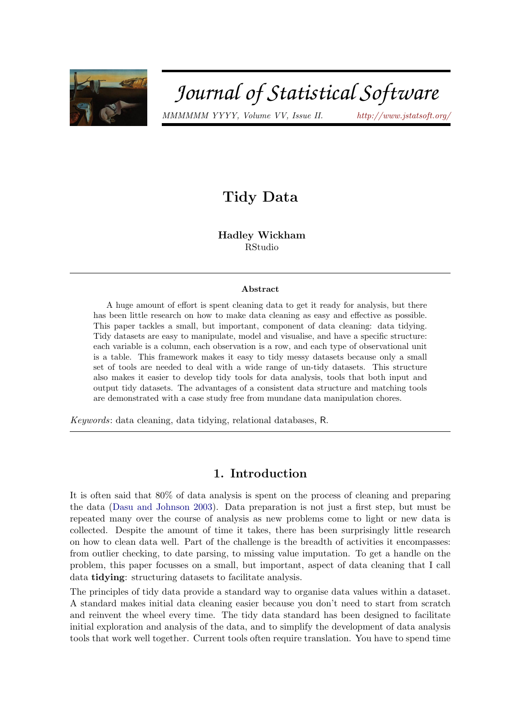

# Journal of Statistical Software

MMMMMM YYYY, Volume VV, Issue II. <http://www.jstatsoft.org/>

# Tidy Data

Hadley Wickham RStudio

#### Abstract

A huge amount of effort is spent cleaning data to get it ready for analysis, but there has been little research on how to make data cleaning as easy and effective as possible. This paper tackles a small, but important, component of data cleaning: data tidying. Tidy datasets are easy to manipulate, model and visualise, and have a specific structure: each variable is a column, each observation is a row, and each type of observational unit is a table. This framework makes it easy to tidy messy datasets because only a small set of tools are needed to deal with a wide range of un-tidy datasets. This structure also makes it easier to develop tidy tools for data analysis, tools that both input and output tidy datasets. The advantages of a consistent data structure and matching tools are demonstrated with a case study free from mundane data manipulation chores.

Keywords: data cleaning, data tidying, relational databases, R.

# 1. Introduction

It is often said that 80% of data analysis is spent on the process of cleaning and preparing the data [\(Dasu and Johnson](#page-22-0) [2003\)](#page-22-0). Data preparation is not just a first step, but must be repeated many over the course of analysis as new problems come to light or new data is collected. Despite the amount of time it takes, there has been surprisingly little research on how to clean data well. Part of the challenge is the breadth of activities it encompasses: from outlier checking, to date parsing, to missing value imputation. To get a handle on the problem, this paper focusses on a small, but important, aspect of data cleaning that I call data tidying: structuring datasets to facilitate analysis.

The principles of tidy data provide a standard way to organise data values within a dataset. A standard makes initial data cleaning easier because you don't need to start from scratch and reinvent the wheel every time. The tidy data standard has been designed to facilitate initial exploration and analysis of the data, and to simplify the development of data analysis tools that work well together. Current tools often require translation. You have to spend time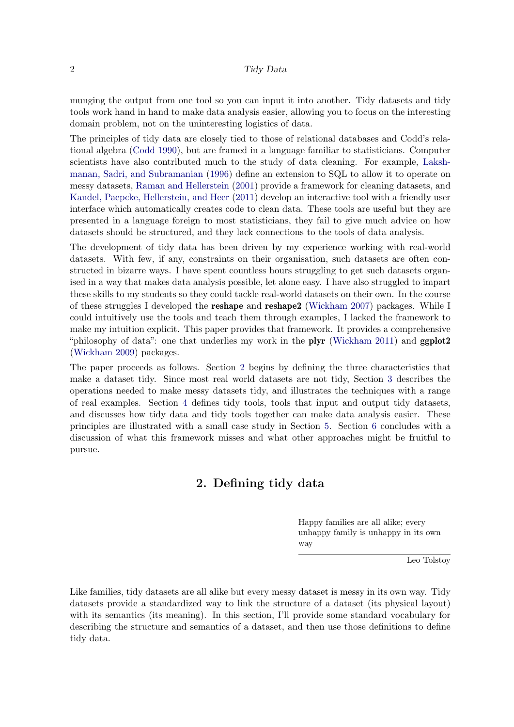munging the output from one tool so you can input it into another. Tidy datasets and tidy tools work hand in hand to make data analysis easier, allowing you to focus on the interesting domain problem, not on the uninteresting logistics of data.

The principles of tidy data are closely tied to those of relational databases and Codd's relational algebra [\(Codd](#page-21-0) [1990\)](#page-21-0), but are framed in a language familiar to statisticians. Computer scientists have also contributed much to the study of data cleaning. For example, [Laksh](#page-22-1)[manan, Sadri, and Subramanian](#page-22-1) [\(1996\)](#page-22-1) define an extension to SQL to allow it to operate on messy datasets, [Raman and Hellerstein](#page-22-2) [\(2001\)](#page-22-2) provide a framework for cleaning datasets, and [Kandel, Paepcke, Hellerstein, and Heer](#page-22-3) [\(2011\)](#page-22-3) develop an interactive tool with a friendly user interface which automatically creates code to clean data. These tools are useful but they are presented in a language foreign to most statisticians, they fail to give much advice on how datasets should be structured, and they lack connections to the tools of data analysis.

The development of tidy data has been driven by my experience working with real-world datasets. With few, if any, constraints on their organisation, such datasets are often constructed in bizarre ways. I have spent countless hours struggling to get such datasets organised in a way that makes data analysis possible, let alone easy. I have also struggled to impart these skills to my students so they could tackle real-world datasets on their own. In the course of these struggles I developed the reshape and reshape2 [\(Wickham](#page-22-4) [2007\)](#page-22-4) packages. While I could intuitively use the tools and teach them through examples, I lacked the framework to make my intuition explicit. This paper provides that framework. It provides a comprehensive "philosophy of data": one that underlies my work in the **plyr** [\(Wickham](#page-22-5) [2011\)](#page-22-5) and  $ggplot2$ [\(Wickham](#page-22-6) [2009\)](#page-22-6) packages.

The paper proceeds as follows. Section [2](#page-1-0) begins by defining the three characteristics that make a dataset tidy. Since most real world datasets are not tidy, Section [3](#page-4-0) describes the operations needed to make messy datasets tidy, and illustrates the techniques with a range of real examples. Section [4](#page-12-0) defines tidy tools, tools that input and output tidy datasets, and discusses how tidy data and tidy tools together can make data analysis easier. These principles are illustrated with a small case study in Section [5.](#page-15-0) Section [6](#page-19-0) concludes with a discussion of what this framework misses and what other approaches might be fruitful to pursue.

# 2. Defining tidy data

Happy families are all alike; every unhappy family is unhappy in its own way

Leo Tolstoy

<span id="page-1-0"></span>Like families, tidy datasets are all alike but every messy dataset is messy in its own way. Tidy datasets provide a standardized way to link the structure of a dataset (its physical layout) with its semantics (its meaning). In this section, I'll provide some standard vocabulary for describing the structure and semantics of a dataset, and then use those definitions to define tidy data.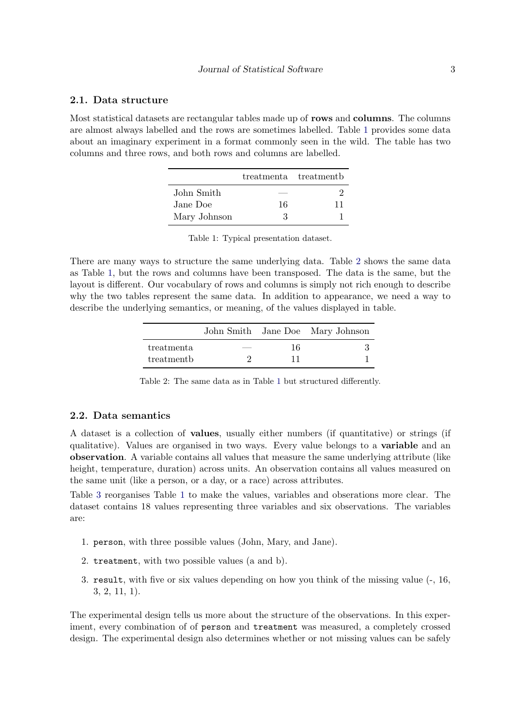#### 2.1. Data structure

<span id="page-2-0"></span>Most statistical datasets are rectangular tables made up of rows and columns. The columns are almost always labelled and the rows are sometimes labelled. Table [1](#page-2-0) provides some data about an imaginary experiment in a format commonly seen in the wild. The table has two columns and three rows, and both rows and columns are labelled.

|              |    | treatmenta treatmentb |
|--------------|----|-----------------------|
| John Smith   |    |                       |
| Jane Doe     | 16 | 11                    |
| Mary Johnson | З  |                       |

Table 1: Typical presentation dataset.

<span id="page-2-1"></span>There are many ways to structure the same underlying data. Table [2](#page-2-1) shows the same data as Table [1,](#page-2-0) but the rows and columns have been transposed. The data is the same, but the layout is different. Our vocabulary of rows and columns is simply not rich enough to describe why the two tables represent the same data. In addition to appearance, we need a way to describe the underlying semantics, or meaning, of the values displayed in table.

|            |    | John Smith Jane Doe Mary Johnson |
|------------|----|----------------------------------|
| treatmenta | 16 |                                  |
| treatment  | 11 |                                  |

Table 2: The same data as in Table [1](#page-2-0) but structured differently.

# 2.2. Data semantics

A dataset is a collection of values, usually either numbers (if quantitative) or strings (if qualitative). Values are organised in two ways. Every value belongs to a **variable** and an observation. A variable contains all values that measure the same underlying attribute (like height, temperature, duration) across units. An observation contains all values measured on the same unit (like a person, or a day, or a race) across attributes.

Table [3](#page-3-0) reorganises Table [1](#page-2-0) to make the values, variables and obserations more clear. The dataset contains 18 values representing three variables and six observations. The variables are:

- 1. person, with three possible values (John, Mary, and Jane).
- 2. treatment, with two possible values (a and b).
- 3. result, with five or six values depending on how you think of the missing value (-, 16, 3, 2, 11, 1).

The experimental design tells us more about the structure of the observations. In this experiment, every combination of of person and treatment was measured, a completely crossed design. The experimental design also determines whether or not missing values can be safely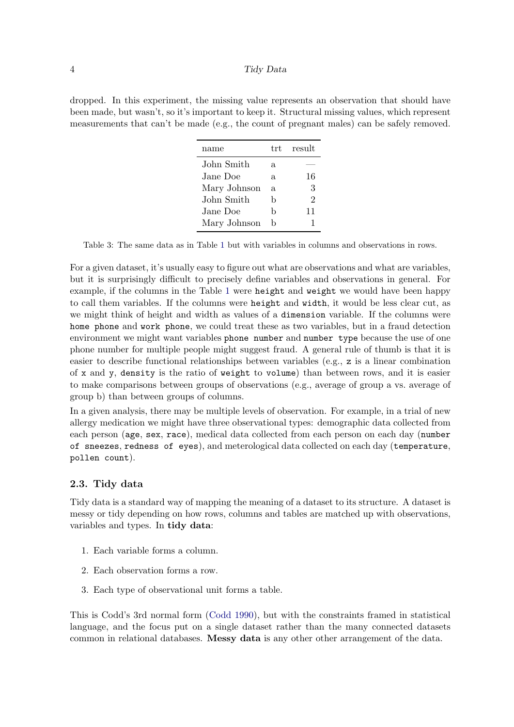<span id="page-3-0"></span>dropped. In this experiment, the missing value represents an observation that should have been made, but wasn't, so it's important to keep it. Structural missing values, which represent measurements that can't be made (e.g., the count of pregnant males) can be safely removed.

| name         | t.rt. | result |
|--------------|-------|--------|
| John Smith   | a.    |        |
| Jane Doe     | a     | 16     |
| Mary Johnson | a.    | 3      |
| John Smith   | h     | 2      |
| Jane Doe     | h     | 11     |
| Mary Johnson | h     |        |

Table 3: The same data as in Table [1](#page-2-0) but with variables in columns and observations in rows.

For a given dataset, it's usually easy to figure out what are observations and what are variables, but it is surprisingly difficult to precisely define variables and observations in general. For example, if the columns in the Table [1](#page-2-0) were height and weight we would have been happy to call them variables. If the columns were height and width, it would be less clear cut, as we might think of height and width as values of a dimension variable. If the columns were home phone and work phone, we could treat these as two variables, but in a fraud detection environment we might want variables phone number and number type because the use of one phone number for multiple people might suggest fraud. A general rule of thumb is that it is easier to describe functional relationships between variables (e.g., z is a linear combination of x and y, density is the ratio of weight to volume) than between rows, and it is easier to make comparisons between groups of observations (e.g., average of group a vs. average of group b) than between groups of columns.

In a given analysis, there may be multiple levels of observation. For example, in a trial of new allergy medication we might have three observational types: demographic data collected from each person (age, sex, race), medical data collected from each person on each day (number of sneezes, redness of eyes), and meterological data collected on each day (temperature, pollen count).

#### 2.3. Tidy data

Tidy data is a standard way of mapping the meaning of a dataset to its structure. A dataset is messy or tidy depending on how rows, columns and tables are matched up with observations, variables and types. In tidy data:

- 1. Each variable forms a column.
- 2. Each observation forms a row.
- 3. Each type of observational unit forms a table.

This is Codd's 3rd normal form [\(Codd](#page-21-0) [1990\)](#page-21-0), but with the constraints framed in statistical language, and the focus put on a single dataset rather than the many connected datasets common in relational databases. Messy data is any other other arrangement of the data.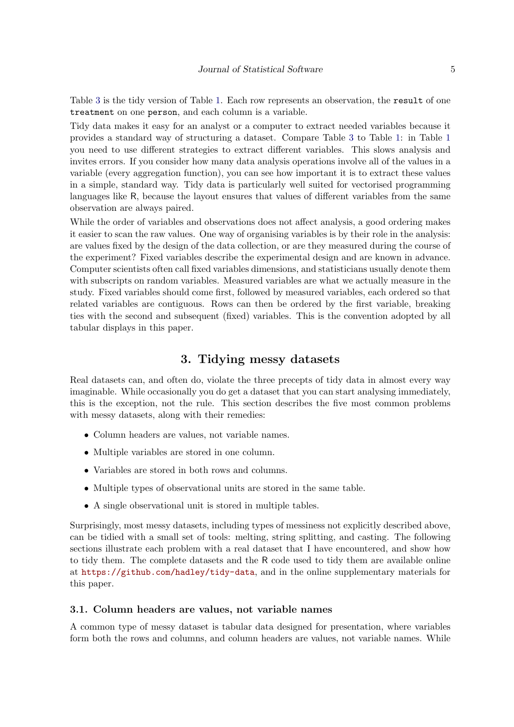Table [3](#page-3-0) is the tidy version of Table [1.](#page-2-0) Each row represents an observation, the result of one treatment on one person, and each column is a variable.

Tidy data makes it easy for an analyst or a computer to extract needed variables because it provides a standard way of structuring a dataset. Compare Table [3](#page-3-0) to Table [1:](#page-2-0) in Table [1](#page-2-0) you need to use different strategies to extract different variables. This slows analysis and invites errors. If you consider how many data analysis operations involve all of the values in a variable (every aggregation function), you can see how important it is to extract these values in a simple, standard way. Tidy data is particularly well suited for vectorised programming languages like R, because the layout ensures that values of different variables from the same observation are always paired.

While the order of variables and observations does not affect analysis, a good ordering makes it easier to scan the raw values. One way of organising variables is by their role in the analysis: are values fixed by the design of the data collection, or are they measured during the course of the experiment? Fixed variables describe the experimental design and are known in advance. Computer scientists often call fixed variables dimensions, and statisticians usually denote them with subscripts on random variables. Measured variables are what we actually measure in the study. Fixed variables should come first, followed by measured variables, each ordered so that related variables are contiguous. Rows can then be ordered by the first variable, breaking ties with the second and subsequent (fixed) variables. This is the convention adopted by all tabular displays in this paper.

# 3. Tidying messy datasets

<span id="page-4-0"></span>Real datasets can, and often do, violate the three precepts of tidy data in almost every way imaginable. While occasionally you do get a dataset that you can start analysing immediately, this is the exception, not the rule. This section describes the five most common problems with messy datasets, along with their remedies:

- Column headers are values, not variable names.
- Multiple variables are stored in one column.
- Variables are stored in both rows and columns.
- Multiple types of observational units are stored in the same table.
- A single observational unit is stored in multiple tables.

Surprisingly, most messy datasets, including types of messiness not explicitly described above, can be tidied with a small set of tools: melting, string splitting, and casting. The following sections illustrate each problem with a real dataset that I have encountered, and show how to tidy them. The complete datasets and the R code used to tidy them are available online at <https://github.com/hadley/tidy-data>, and in the online supplementary materials for this paper.

#### 3.1. Column headers are values, not variable names

A common type of messy dataset is tabular data designed for presentation, where variables form both the rows and columns, and column headers are values, not variable names. While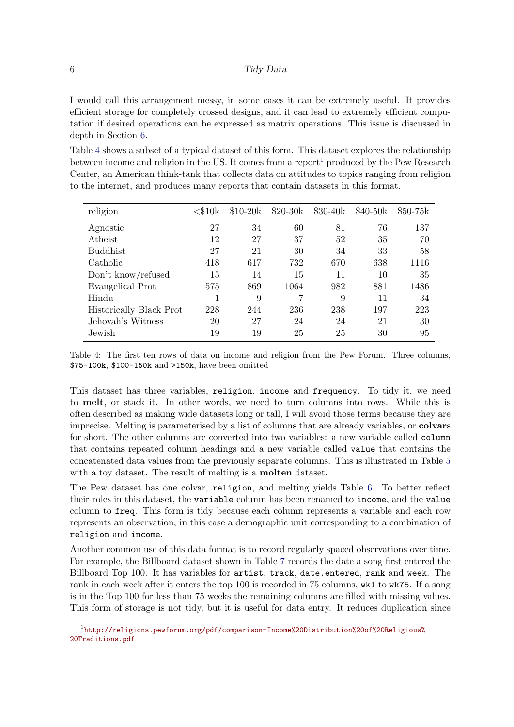I would call this arrangement messy, in some cases it can be extremely useful. It provides efficient storage for completely crossed designs, and it can lead to extremely efficient computation if desired operations can be expressed as matrix operations. This issue is discussed in depth in Section [6.](#page-19-0)

Table [4](#page-5-0) shows a subset of a typical dataset of this form. This dataset explores the relationship between income and religion in the US. It comes from a report<sup>[1](#page-5-1)</sup> produced by the Pew Research Center, an American think-tank that collects data on attitudes to topics ranging from religion to the internet, and produces many reports that contain datasets in this format.

<span id="page-5-0"></span>

| religion                | $<$ \$10 ${\rm k}$ | $$10-20k$ | $$20-30k$ | $$30-40k$ | $$40-50k$ | $$50-75k$ |
|-------------------------|--------------------|-----------|-----------|-----------|-----------|-----------|
| Agnostic                | 27                 | 34        | 60        | 81        | 76        | 137       |
| Atheist                 | 12                 | 27        | 37        | 52        | 35        | 70        |
| <b>Buddhist</b>         | 27                 | 21        | 30        | 34        | 33        | 58        |
| Catholic                | 418                | 617       | 732       | 670       | 638       | 1116      |
| Don't know/refused      | 15                 | 14        | 15        | 11        | 10        | 35        |
| Evangelical Prot        | 575                | 869       | 1064      | 982       | 881       | 1486      |
| Hindu                   |                    | 9         |           | 9         | 11        | 34        |
| Historically Black Prot | 228                | 244       | 236       | 238       | 197       | 223       |
| Jehovah's Witness       | 20                 | 27        | 24        | 24        | 21        | 30        |
| Jewish                  | 19                 | 19        | 25        | 25        | 30        | 95        |

Table 4: The first ten rows of data on income and religion from the Pew Forum. Three columns, \$75-100k, \$100-150k and >150k, have been omitted

This dataset has three variables, religion, income and frequency. To tidy it, we need to melt, or stack it. In other words, we need to turn columns into rows. While this is often described as making wide datasets long or tall, I will avoid those terms because they are imprecise. Melting is parameterised by a list of columns that are already variables, or colvars for short. The other columns are converted into two variables: a new variable called column that contains repeated column headings and a new variable called value that contains the concatenated data values from the previously separate columns. This is illustrated in Table [5](#page-6-0) with a toy dataset. The result of melting is a **molten** dataset.

The Pew dataset has one colvar, religion, and melting yields Table [6.](#page-6-1) To better reflect their roles in this dataset, the variable column has been renamed to income, and the value column to freq. This form is tidy because each column represents a variable and each row represents an observation, in this case a demographic unit corresponding to a combination of religion and income.

Another common use of this data format is to record regularly spaced observations over time. For example, the Billboard dataset shown in Table [7](#page-7-0) records the date a song first entered the Billboard Top 100. It has variables for artist, track, date.entered, rank and week. The rank in each week after it enters the top 100 is recorded in 75 columns, wk1 to wk75. If a song is in the Top 100 for less than 75 weeks the remaining columns are filled with missing values. This form of storage is not tidy, but it is useful for data entry. It reduces duplication since

<span id="page-5-1"></span><sup>1</sup> [http://religions.pewforum.org/pdf/comparison-Income%20Distribution%20of%20Religious%](http://religions.pewforum.org/pdf/comparison-Income%20Distribution%20of%20Religious%20Traditions.pdf) [20Traditions.pdf](http://religions.pewforum.org/pdf/comparison-Income%20Distribution%20of%20Religious%20Traditions.pdf)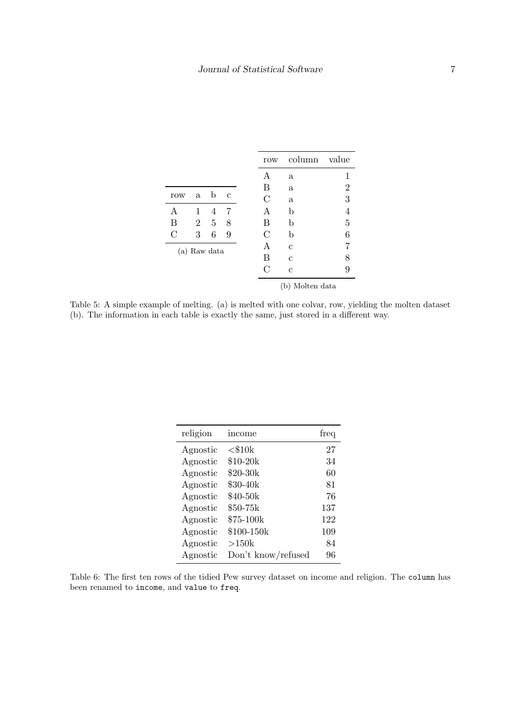<span id="page-6-0"></span>

|     |                |   |              | row           | column          | value          |
|-----|----------------|---|--------------|---------------|-----------------|----------------|
|     |                |   |              | A             | $\mathbf a$     | 1              |
|     |                |   |              | B             | $\rm{a}$        | $\overline{2}$ |
| row | a              | b | $\mathbf{c}$ | C             | $\mathbf a$     | 3              |
| A   | 1              | 4 | 7            | А             | b               | 4              |
| B   | $\overline{2}$ | 5 | 8            | В             | b               | 5              |
| С   | 3              | 6 | 9            | $\mathcal{C}$ | b               | 6              |
|     | (a) Raw data   |   |              | Α             | С               |                |
|     |                |   |              | B             | C               | 8              |
|     |                |   |              | С             | $\mathbf c$     | 9              |
|     |                |   |              |               | (b) Molten data |                |

Table 5: A simple example of melting. (a) is melted with one colvar, row, yielding the molten dataset (b). The information in each table is exactly the same, just stored in a different way.

<span id="page-6-1"></span>

| religion | income             | freq |
|----------|--------------------|------|
| Agnostic | $<$ \$10 $k$       | 27   |
| Agnostic | $$10-20k$          | 34   |
| Agnostic | \$20-30k           | 60   |
| Agnostic | \$30-40k           | 81   |
| Agnostic | \$40-50k           | 76   |
| Agnostic | \$50-75k           | 137  |
| Agnostic | \$75-100k          | 122  |
| Agnostic | \$100-150k         | 109  |
| Agnostic | >150k              | 84   |
| Agnostic | Don't know/refused | 96   |

Table 6: The first ten rows of the tidied Pew survey dataset on income and religion. The column has been renamed to income, and value to freq.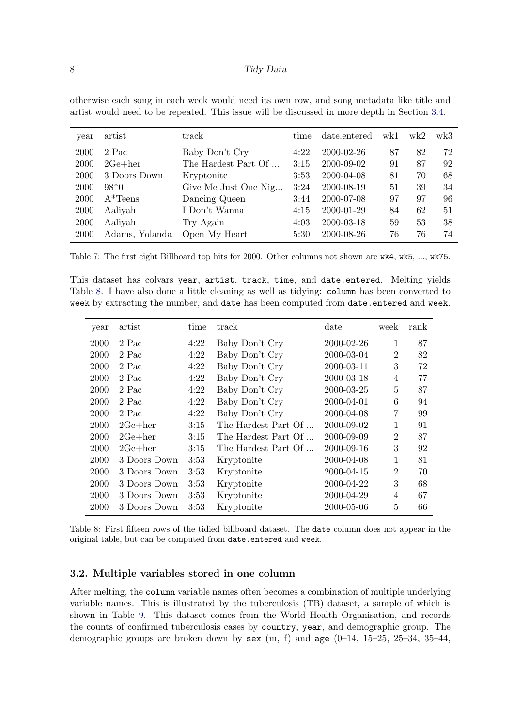otherwise each song in each week would need its own row, and song metadata like title and artist would need to be repeated. This issue will be discussed in more depth in Section [3.4.](#page-9-0)

<span id="page-7-0"></span>

| year | artist         | track                | time | date.entered | wk1 | wk2 | wk3 |
|------|----------------|----------------------|------|--------------|-----|-----|-----|
| 2000 | 2 Pac          | Baby Don't Cry       | 4:22 | 2000-02-26   | 87  | 82  | 72  |
| 2000 | $2Ge + her$    | The Hardest Part Of  | 3:15 | 2000-09-02   | 91  | 87  | 92  |
| 2000 | 3 Doors Down   | Kryptonite           | 3:53 | 2000-04-08   | 81  | 70  | 68  |
| 2000 | $98^{\circ}0$  | Give Me Just One Nig | 3:24 | 2000-08-19   | 51  | 39  | 34  |
| 2000 | $A*Teens$      | Dancing Queen        | 3:44 | 2000-07-08   | 97  | 97  | 96  |
| 2000 | Aaliyah        | I Don't Wanna        | 4:15 | 2000-01-29   | 84  | 62  | 51  |
| 2000 | Aaliyah        | Try Again            | 4:03 | 2000-03-18   | 59  | 53  | 38  |
| 2000 | Adams, Yolanda | Open My Heart        | 5:30 | 2000-08-26   | 76  | 76  | 74  |

Table 7: The first eight Billboard top hits for 2000. Other columns not shown are wk4, wk5, ..., wk75.

This dataset has colvars year, artist, track, time, and date.entered. Melting yields Table [8.](#page-7-1) I have also done a little cleaning as well as tidying: column has been converted to week by extracting the number, and date has been computed from date.entered and week.

<span id="page-7-1"></span>

| year | artist       | time | track               | date       | week           | rank |
|------|--------------|------|---------------------|------------|----------------|------|
| 2000 | 2 Pac        | 4:22 | Baby Don't Cry      | 2000-02-26 | $\mathbf{1}$   | 87   |
| 2000 | 2 Pac        | 4:22 | Baby Don't Cry      | 2000-03-04 | $\overline{2}$ | 82   |
| 2000 | 2 Pac        | 4:22 | Baby Don't Cry      | 2000-03-11 | 3              | 72   |
| 2000 | 2 Pac        | 4:22 | Baby Don't Cry      | 2000-03-18 | $\overline{4}$ | 77   |
| 2000 | 2 Pac        | 4:22 | Baby Don't Cry      | 2000-03-25 | 5              | 87   |
| 2000 | 2 Pac        | 4:22 | Baby Don't Cry      | 2000-04-01 | 6              | 94   |
| 2000 | 2 Pac        | 4:22 | Baby Don't Cry      | 2000-04-08 | 7              | 99   |
| 2000 | $2Ge + her$  | 3:15 | The Hardest Part Of | 2000-09-02 | 1              | 91   |
| 2000 | $2Ge + her$  | 3:15 | The Hardest Part Of | 2000-09-09 | $\overline{2}$ | 87   |
| 2000 | $2Ge + her$  | 3:15 | The Hardest Part Of | 2000-09-16 | 3              | 92   |
| 2000 | 3 Doors Down | 3:53 | Kryptonite          | 2000-04-08 | 1              | 81   |
| 2000 | 3 Doors Down | 3:53 | Kryptonite          | 2000-04-15 | $\overline{2}$ | 70   |
| 2000 | 3 Doors Down | 3:53 | Kryptonite          | 2000-04-22 | 3              | 68   |
| 2000 | 3 Doors Down | 3:53 | Kryptonite          | 2000-04-29 | 4              | 67   |
| 2000 | 3 Doors Down | 3:53 | Kryptonite          | 2000-05-06 | 5              | 66   |

Table 8: First fifteen rows of the tidied billboard dataset. The date column does not appear in the original table, but can be computed from date.entered and week.

#### 3.2. Multiple variables stored in one column

After melting, the column variable names often becomes a combination of multiple underlying variable names. This is illustrated by the tuberculosis (TB) dataset, a sample of which is shown in Table [9.](#page-8-0) This dataset comes from the World Health Organisation, and records the counts of confirmed tuberculosis cases by country, year, and demographic group. The demographic groups are broken down by  $\textbf{sex}$  (m, f) and  $\textbf{age}$  (0–14, 15–25, 25–34, 35–44,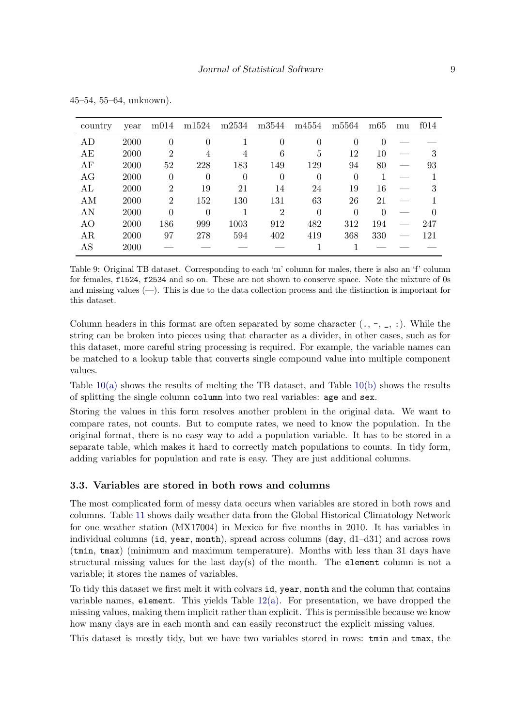<span id="page-8-0"></span>

| country | year | m014           | m1524    | m2534    | m3544          | m4554    | m <sub>5564</sub> | m65      | mu | f014 |
|---------|------|----------------|----------|----------|----------------|----------|-------------------|----------|----|------|
| AD      | 2000 | $\Omega$       | $\theta$ |          | $\theta$       | 0        |                   | $\cup$   |    |      |
| AE      | 2000 | 2              | 4        | 4        | 6              | 5        | 12                | 10       |    | З    |
| AF      | 2000 | 52             | 228      | 183      | 149            | 129      | 94                | 80       |    | 93   |
| AG      | 2000 | 0              | $\theta$ | $\Omega$ | $\theta$       | 0        | $\Omega$          |          |    |      |
| AL      | 2000 | 2              | 19       | 21       | 14             | 24       | 19                | 16       |    |      |
| AM      | 2000 | $\overline{2}$ | 152      | 130      | 131            | 63       | 26                | 21       |    |      |
| AN      | 2000 | $\Omega$       | 0        |          | $\overline{2}$ | $\theta$ | $\Omega$          | $\Omega$ |    |      |
| AO      | 2000 | 186            | 999      | 1003     | 912            | 482      | 312               | 194      |    | 247  |
| AR      | 2000 | 97             | 278      | 594      | 402            | 419      | 368               | 330      |    | 121  |
| AS      | 2000 |                |          |          |                |          |                   |          |    |      |

45–54, 55–64, unknown).

Table 9: Original TB dataset. Corresponding to each 'm' column for males, there is also an 'f' column for females, f1524, f2534 and so on. These are not shown to conserve space. Note the mixture of 0s and missing values (—). This is due to the data collection process and the distinction is important for this dataset.

Column headers in this format are often separated by some character  $(., -, \_), :$ ). While the string can be broken into pieces using that character as a divider, in other cases, such as for this dataset, more careful string processing is required. For example, the variable names can be matched to a lookup table that converts single compound value into multiple component values.

Table  $10(a)$  shows the results of melting the TB dataset, and Table  $10(b)$  shows the results of splitting the single column column into two real variables: age and sex.

Storing the values in this form resolves another problem in the original data. We want to compare rates, not counts. But to compute rates, we need to know the population. In the original format, there is no easy way to add a population variable. It has to be stored in a separate table, which makes it hard to correctly match populations to counts. In tidy form, adding variables for population and rate is easy. They are just additional columns.

# 3.3. Variables are stored in both rows and columns

The most complicated form of messy data occurs when variables are stored in both rows and columns. Table [11](#page-10-0) shows daily weather data from the Global Historical Climatology Network for one weather station (MX17004) in Mexico for five months in 2010. It has variables in individual columns (id, year, month), spread across columns (day, d1–d31) and across rows (tmin, tmax) (minimum and maximum temperature). Months with less than 31 days have structural missing values for the last  $day(s)$  of the month. The element column is not a variable; it stores the names of variables.

To tidy this dataset we first melt it with colvars id, year, month and the column that contains variable names, element. This yields Table [12\(a\).](#page-10-1) For presentation, we have dropped the missing values, making them implicit rather than explicit. This is permissible because we know how many days are in each month and can easily reconstruct the explicit missing values.

This dataset is mostly tidy, but we have two variables stored in rows: tmin and tmax, the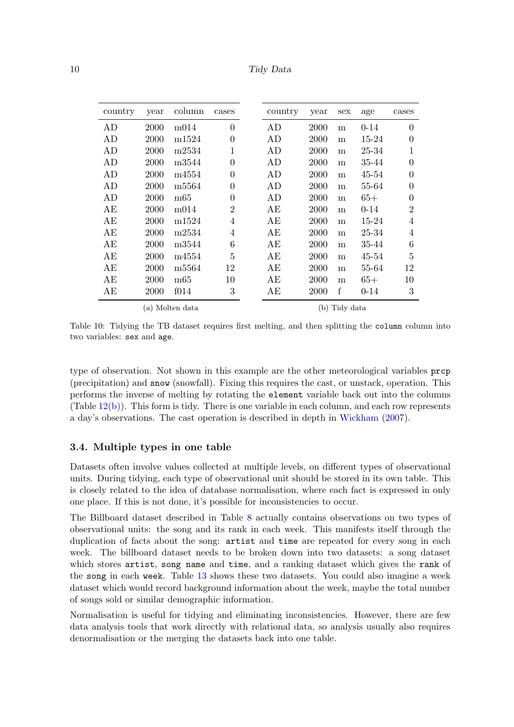| 10 |  | Tidy Data |
|----|--|-----------|
|----|--|-----------|

<span id="page-9-2"></span><span id="page-9-1"></span>

| country | year | column            | cases          | country | year          | sex     | age      | cases          |
|---------|------|-------------------|----------------|---------|---------------|---------|----------|----------------|
| AD      | 2000 | m014              | $\overline{0}$ | AD      | 2000          | m       | $0 - 14$ | $\overline{0}$ |
| AD      | 2000 | m <sub>1524</sub> | $\overline{0}$ | AD      | 2000          | m       | 15-24    | $\theta$       |
| AD      | 2000 | m2534             | 1              | AD      | 2000          | m       | 25-34    | 1              |
| AD      | 2000 | m3544             | $\overline{0}$ | AD      | 2000          | m       | 35-44    | $\overline{0}$ |
| AD      | 2000 | m4554             | $\theta$       | AD      | 2000          | m       | 45-54    | $\overline{0}$ |
| AD      | 2000 | m5564             | $\theta$       | AD      | 2000          | m       | 55-64    | $\overline{0}$ |
| AD      | 2000 | m65               | $\theta$       | AD      | 2000          | m       | $65+$    | $\overline{0}$ |
| AЕ      | 2000 | m014              | $\overline{2}$ | AE      | 2000          | m       | $0 - 14$ | $\overline{2}$ |
| AЕ      | 2000 | m1524             | $\overline{4}$ | AE      | 2000          | m       | 15-24    | 4              |
| AЕ      | 2000 | m2534             | $\overline{4}$ | AE      | 2000          | m       | 25-34    | 4              |
| AЕ      | 2000 | m3544             | 6              | AЕ      | 2000          | m       | 35-44    | 6              |
| AЕ      | 2000 | m4554             | 5              | AЕ      | 2000          | m       | 45-54    | 5              |
| AЕ      | 2000 | m <sub>5564</sub> | 12             | AE      | 2000          | m       | 55-64    | 12             |
| AE      | 2000 | m65               | 10             | АE      | 2000          | m       | $65+$    | 10             |
| АE      | 2000 | f014              | 3              | AЕ      | 2000          | $\rm f$ | $0 - 14$ | 3              |
|         |      | (a) Molten data   |                |         | (b) Tidy data |         |          |                |

Table 10: Tidying the TB dataset requires first melting, and then splitting the column column into two variables: sex and age.

type of observation. Not shown in this example are the other meteorological variables prcp (precipitation) and snow (snowfall). Fixing this requires the cast, or unstack, operation. This performs the inverse of melting by rotating the element variable back out into the columns (Table  $12(b)$ ). This form is tidy. There is one variable in each column, and each row represents a day's observations. The cast operation is described in depth in [Wickham](#page-22-4) [\(2007\)](#page-22-4).

# <span id="page-9-0"></span>3.4. Multiple types in one table

Datasets often involve values collected at multiple levels, on different types of observational units. During tidying, each type of observational unit should be stored in its own table. This is closely related to the idea of database normalisation, where each fact is expressed in only one place. If this is not done, it's possible for inconsistencies to occur.

The Billboard dataset described in Table [8](#page-7-1) actually contains observations on two types of observational units: the song and its rank in each week. This manifests itself through the duplication of facts about the song: artist and time are repeated for every song in each week. The billboard dataset needs to be broken down into two datasets: a song dataset which stores artist, song name and time, and a ranking dataset which gives the rank of the song in each week. Table [13](#page-11-0) shows these two datasets. You could also imagine a week dataset which would record background information about the week, maybe the total number of songs sold or similar demographic information.

Normalisation is useful for tidying and eliminating inconsistencies. However, there are few data analysis tools that work directly with relational data, so analysis usually also requires denormalisation or the merging the datasets back into one table.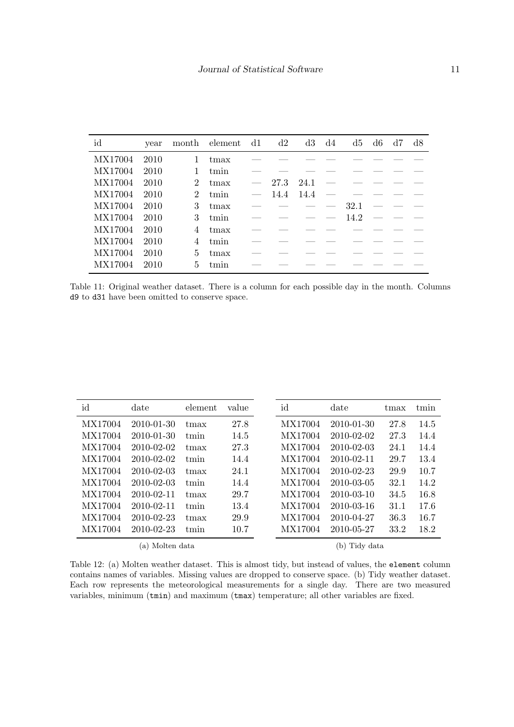<span id="page-10-0"></span>

| id      | year |                             | month element | $-{\rm d}1$              | d2         | d3   | d4 | d5                                                                                  | d6                  | d7         | d8 |
|---------|------|-----------------------------|---------------|--------------------------|------------|------|----|-------------------------------------------------------------------------------------|---------------------|------------|----|
| MX17004 | 2010 |                             | tmax          |                          |            |      |    |                                                                                     |                     |            |    |
| MX17004 | 2010 |                             | tmin          |                          |            |      |    |                                                                                     |                     |            |    |
| MX17004 | 2010 | $\overline{2}$              | $t$ max       | $\overline{\phantom{m}}$ | 27.3       | 24.1 |    | <u> 1986 - Andrea State Barbara, martin eta arteko erromana erromana (h. 1988).</u> |                     |            |    |
| MX17004 | 2010 | $\mathcal{D}_{\mathcal{L}}$ | tmin          |                          | 14.4       | 14.4 |    |                                                                                     |                     |            |    |
| MX17004 | 2010 | 3                           | $t$ max       |                          | __________ |      |    | 32.1                                                                                |                     | $\sim$ $-$ |    |
| MX17004 | 2010 | 3                           | tmin          |                          | __________ |      |    | 14.2                                                                                |                     |            |    |
| MX17004 | 2010 | 4                           | tmax          |                          |            |      |    | the control of the control of the control of                                        |                     |            |    |
| MX17004 | 2010 | 4                           | tmin          |                          |            |      |    |                                                                                     | <u>and</u> the same |            |    |
| MX17004 | 2010 | 5                           | tmax          |                          |            |      |    |                                                                                     |                     |            |    |
| MX17004 | 2010 | 5                           | tmin          |                          |            |      |    |                                                                                     |                     |            |    |

Table 11: Original weather dataset. There is a column for each possible day in the month. Columns d9 to d31 have been omitted to conserve space.

<span id="page-10-2"></span><span id="page-10-1"></span>

| id      | date             | element | value | id      | date             | tmax | tmin |
|---------|------------------|---------|-------|---------|------------------|------|------|
| MX17004 | 2010-01-30       | tmax    | 27.8  | MX17004 | $2010 - 01 - 30$ | 27.8 | 14.5 |
| MX17004 | 2010-01-30       | tmin    | 14.5  | MX17004 | $2010 - 02 - 02$ | 27.3 | 14.4 |
| MX17004 | 2010-02-02       | tmax    | 27.3  | MX17004 | $2010 - 02 - 03$ | 24.1 | 14.4 |
| MX17004 | 2010-02-02       | tmin    | 14.4  | MX17004 | $2010 - 02 - 11$ | 29.7 | 13.4 |
| MX17004 | $2010 - 02 - 03$ | tmax    | 24.1  | MX17004 | $2010 - 02 - 23$ | 29.9 | 10.7 |
| MX17004 | $2010 - 02 - 03$ | tmin    | 14.4  | MX17004 | 2010-03-05       | 32.1 | 14.2 |
| MX17004 | 2010-02-11       | tmax    | 29.7  | MX17004 | $2010 - 03 - 10$ | 34.5 | 16.8 |
| MX17004 | $2010 - 02 - 11$ | tmin    | 13.4  | MX17004 | $2010 - 03 - 16$ | 31.1 | 17.6 |
| MX17004 | 2010-02-23       | tmax    | 29.9  | MX17004 | 2010-04-27       | 36.3 | 16.7 |
| MX17004 | 2010-02-23       | tmin    | 10.7  | MX17004 | 2010-05-27       | 33.2 | 18.2 |
|         | (a) Molten data  |         |       |         | Tidy data<br>b)  |      |      |

Table 12: (a) Molten weather dataset. This is almost tidy, but instead of values, the element column contains names of variables. Missing values are dropped to conserve space. (b) Tidy weather dataset. Each row represents the meteorological measurements for a single day. There are two measured variables, minimum (tmin) and maximum (tmax) temperature; all other variables are fixed.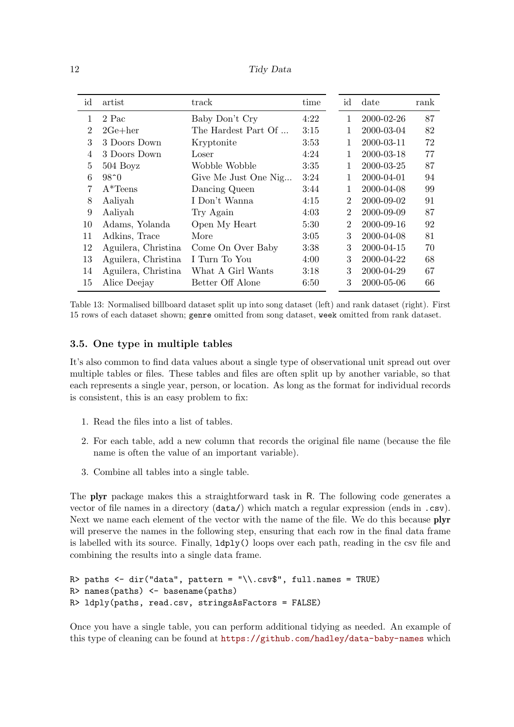12 Tidy Data

<span id="page-11-0"></span>

| id             | artist              | track                | time | id             | date       | rank |
|----------------|---------------------|----------------------|------|----------------|------------|------|
| 1              | 2 Pac               | Baby Don't Cry       | 4:22 | 1              | 2000-02-26 | 87   |
| $\overline{2}$ | $2Ge + her$         | The Hardest Part Of  | 3:15 | 1              | 2000-03-04 | 82   |
| 3              | 3 Doors Down        | Kryptonite           | 3:53 | 1              | 2000-03-11 | 72   |
| 4              | 3 Doors Down        | Loser                | 4:24 | 1              | 2000-03-18 | 77   |
| 5              | $504$ Boyz          | Wobble Wobble        | 3:35 | 1              | 2000-03-25 | 87   |
| 6              | $98^{\circ}0$       | Give Me Just One Nig | 3:24 | 1              | 2000-04-01 | 94   |
| 7              | $A*Tens$            | Dancing Queen        | 3:44 | 1              | 2000-04-08 | 99   |
| 8              | Aaliyah             | I Don't Wanna        | 4:15 | $\overline{2}$ | 2000-09-02 | 91   |
| 9              | Aaliyah             | Try Again            | 4:03 | $\overline{2}$ | 2000-09-09 | 87   |
| 10             | Adams, Yolanda      | Open My Heart        | 5:30 | $\overline{2}$ | 2000-09-16 | 92   |
| 11             | Adkins, Trace       | More                 | 3:05 | 3              | 2000-04-08 | 81   |
| 12             | Aguilera, Christina | Come On Over Baby    | 3:38 | 3              | 2000-04-15 | 70   |
| 13             | Aguilera, Christina | I Turn To You        | 4:00 | 3              | 2000-04-22 | 68   |
| 14             | Aguilera, Christina | What A Girl Wants    | 3:18 | 3              | 2000-04-29 | 67   |
| 15             | Alice Deejay        | Better Off Alone     | 6:50 | 3              | 2000-05-06 | 66   |

Table 13: Normalised billboard dataset split up into song dataset (left) and rank dataset (right). First 15 rows of each dataset shown; genre omitted from song dataset, week omitted from rank dataset.

# 3.5. One type in multiple tables

It's also common to find data values about a single type of observational unit spread out over multiple tables or files. These tables and files are often split up by another variable, so that each represents a single year, person, or location. As long as the format for individual records is consistent, this is an easy problem to fix:

- 1. Read the files into a list of tables.
- 2. For each table, add a new column that records the original file name (because the file name is often the value of an important variable).
- 3. Combine all tables into a single table.

The plyr package makes this a straightforward task in R. The following code generates a vector of file names in a directory (data/) which match a regular expression (ends in .csv). Next we name each element of the vector with the name of the file. We do this because **plyr** will preserve the names in the following step, ensuring that each row in the final data frame is labelled with its source. Finally, ldply() loops over each path, reading in the csv file and combining the results into a single data frame.

```
R> paths <- dir("data", pattern = "\\.csv$", full.names = TRUE)
R> names(paths) <- basename(paths)
R> ldply(paths, read.csv, stringsAsFactors = FALSE)
```
Once you have a single table, you can perform additional tidying as needed. An example of this type of cleaning can be found at <https://github.com/hadley/data-baby-names> which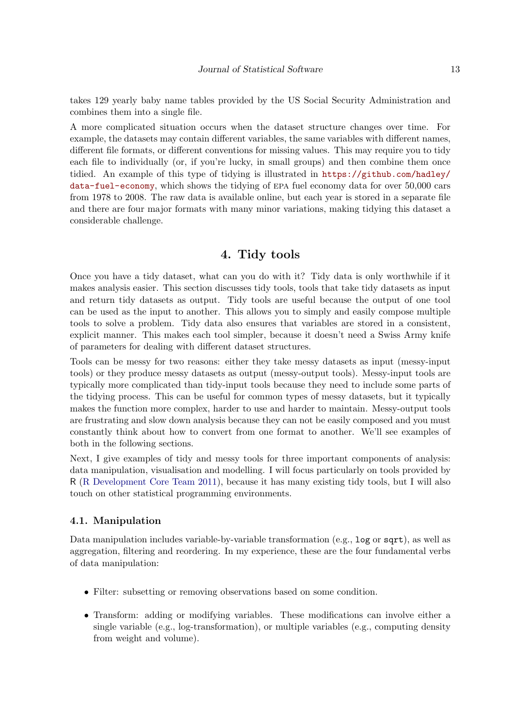takes 129 yearly baby name tables provided by the US Social Security Administration and combines them into a single file.

A more complicated situation occurs when the dataset structure changes over time. For example, the datasets may contain different variables, the same variables with different names, different file formats, or different conventions for missing values. This may require you to tidy each file to individually (or, if you're lucky, in small groups) and then combine them once tidied. An example of this type of tidying is illustrated in [https://github.com/hadley/](https://github.com/hadley/data-fuel-economy) [data-fuel-economy](https://github.com/hadley/data-fuel-economy), which shows the tidying of epa fuel economy data for over 50,000 cars from 1978 to 2008. The raw data is available online, but each year is stored in a separate file and there are four major formats with many minor variations, making tidying this dataset a considerable challenge.

# 4. Tidy tools

<span id="page-12-0"></span>Once you have a tidy dataset, what can you do with it? Tidy data is only worthwhile if it makes analysis easier. This section discusses tidy tools, tools that take tidy datasets as input and return tidy datasets as output. Tidy tools are useful because the output of one tool can be used as the input to another. This allows you to simply and easily compose multiple tools to solve a problem. Tidy data also ensures that variables are stored in a consistent, explicit manner. This makes each tool simpler, because it doesn't need a Swiss Army knife of parameters for dealing with different dataset structures.

Tools can be messy for two reasons: either they take messy datasets as input (messy-input tools) or they produce messy datasets as output (messy-output tools). Messy-input tools are typically more complicated than tidy-input tools because they need to include some parts of the tidying process. This can be useful for common types of messy datasets, but it typically makes the function more complex, harder to use and harder to maintain. Messy-output tools are frustrating and slow down analysis because they can not be easily composed and you must constantly think about how to convert from one format to another. We'll see examples of both in the following sections.

Next, I give examples of tidy and messy tools for three important components of analysis: data manipulation, visualisation and modelling. I will focus particularly on tools provided by R [\(R Development Core Team](#page-22-7) [2011\)](#page-22-7), because it has many existing tidy tools, but I will also touch on other statistical programming environments.

#### 4.1. Manipulation

Data manipulation includes variable-by-variable transformation (e.g.,  $log$  or sqrt), as well as aggregation, filtering and reordering. In my experience, these are the four fundamental verbs of data manipulation:

- Filter: subsetting or removing observations based on some condition.
- Transform: adding or modifying variables. These modifications can involve either a single variable (e.g., log-transformation), or multiple variables (e.g., computing density from weight and volume).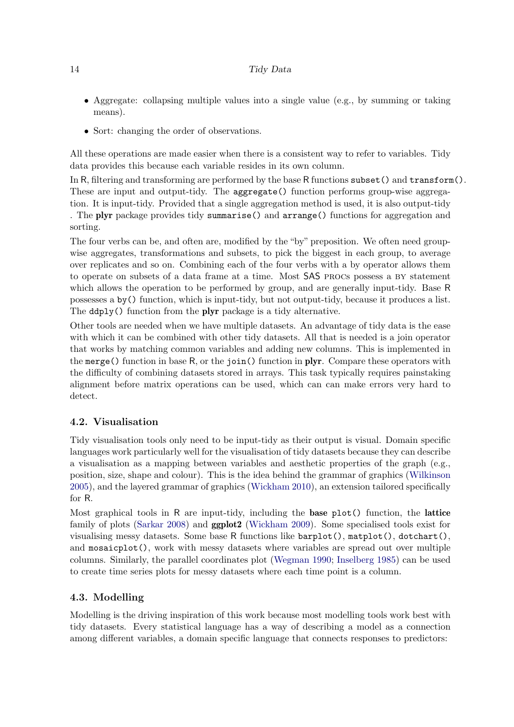- Aggregate: collapsing multiple values into a single value (e.g., by summing or taking means).
- Sort: changing the order of observations.

All these operations are made easier when there is a consistent way to refer to variables. Tidy data provides this because each variable resides in its own column.

In R, filtering and transforming are performed by the base R functions subset() and transform(). These are input and output-tidy. The **aggregate** () function performs group-wise aggregation. It is input-tidy. Provided that a single aggregation method is used, it is also output-tidy . The plyr package provides tidy summarise() and arrange() functions for aggregation and sorting.

The four verbs can be, and often are, modified by the "by" preposition. We often need groupwise aggregates, transformations and subsets, to pick the biggest in each group, to average over replicates and so on. Combining each of the four verbs with a by operator allows them to operate on subsets of a data frame at a time. Most SAS procs possess a by statement which allows the operation to be performed by group, and are generally input-tidy. Base R possesses a by() function, which is input-tidy, but not output-tidy, because it produces a list. The ddply() function from the plyr package is a tidy alternative.

Other tools are needed when we have multiple datasets. An advantage of tidy data is the ease with which it can be combined with other tidy datasets. All that is needed is a join operator that works by matching common variables and adding new columns. This is implemented in the merge() function in base R, or the join() function in plyr. Compare these operators with the difficulty of combining datasets stored in arrays. This task typically requires painstaking alignment before matrix operations can be used, which can can make errors very hard to detect.

#### 4.2. Visualisation

Tidy visualisation tools only need to be input-tidy as their output is visual. Domain specific languages work particularly well for the visualisation of tidy datasets because they can describe a visualisation as a mapping between variables and aesthetic properties of the graph (e.g., position, size, shape and colour). This is the idea behind the grammar of graphics [\(Wilkinson](#page-22-8) [2005\)](#page-22-8), and the layered grammar of graphics [\(Wickham](#page-22-9) [2010\)](#page-22-9), an extension tailored specifically for R.

Most graphical tools in R are input-tidy, including the base plot() function, the lattice family of plots [\(Sarkar](#page-22-10) [2008\)](#page-22-10) and ggplot2 [\(Wickham](#page-22-6) [2009\)](#page-22-6). Some specialised tools exist for visualising messy datasets. Some base R functions like barplot(), matplot(), dotchart(), and mosaicplot(), work with messy datasets where variables are spread out over multiple columns. Similarly, the parallel coordinates plot [\(Wegman](#page-22-11) [1990;](#page-22-11) [Inselberg](#page-22-12) [1985\)](#page-22-12) can be used to create time series plots for messy datasets where each time point is a column.

# 4.3. Modelling

Modelling is the driving inspiration of this work because most modelling tools work best with tidy datasets. Every statistical language has a way of describing a model as a connection among different variables, a domain specific language that connects responses to predictors: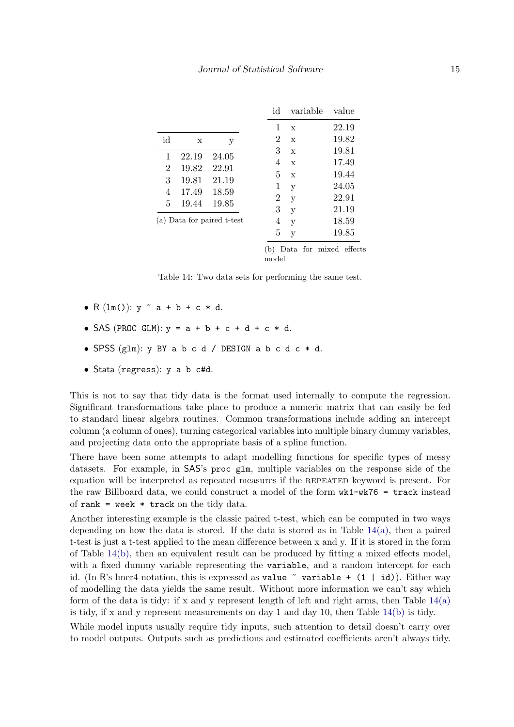<span id="page-14-0"></span>

|                |       |                            | id | variable    | value |
|----------------|-------|----------------------------|----|-------------|-------|
|                |       |                            | 1  | $\mathbf x$ | 22.19 |
| id             | х     | у                          | 2  | $\mathbf x$ | 19.82 |
| 1              | 22.19 | 24.05                      | 3  | $\mathbf x$ | 19.81 |
| $\overline{2}$ | 19.82 | 22.91                      | 4  | $\mathbf x$ | 17.49 |
| 3              | 19.81 | 21.19                      | 5  | $\mathbf x$ | 19.44 |
|                |       |                            | 1  | y           | 24.05 |
| 4              | 17.49 | 18.59                      | 2  | y           | 22.91 |
| 5              | 19.44 | 19.85                      | 3  | у           | 21.19 |
|                |       | (a) Data for paired t-test | 4  | y           | 18.59 |
|                |       |                            | 5  | V           | 19.85 |
|                |       |                            |    |             |       |

<span id="page-14-1"></span>(b) Data for mixed effects model

Table 14: Two data sets for performing the same test.

- $R(\text{lm}())$ :  $y \sim a + b + c \times d$ .
- SAS (PROC GLM):  $v = a + b + c + d + c * d$ .
- SPSS  $(glm): y BY a b c d / DESIGN a b c d c * d.$
- Stata (regress): y a b c#d.

This is not to say that tidy data is the format used internally to compute the regression. Significant transformations take place to produce a numeric matrix that can easily be fed to standard linear algebra routines. Common transformations include adding an intercept column (a column of ones), turning categorical variables into multiple binary dummy variables, and projecting data onto the appropriate basis of a spline function.

There have been some attempts to adapt modelling functions for specific types of messy datasets. For example, in SAS's proc glm, multiple variables on the response side of the equation will be interpreted as repeated measures if the repeated keyword is present. For the raw Billboard data, we could construct a model of the form  $wk1-wk76 = \text{track instead}$ of rank = week  $*$  track on the tidy data.

Another interesting example is the classic paired t-test, which can be computed in two ways depending on how the data is stored. If the data is stored as in Table  $14(a)$ , then a paired t-test is just a t-test applied to the mean difference between x and y. If it is stored in the form of Table [14\(b\),](#page-14-1) then an equivalent result can be produced by fitting a mixed effects model, with a fixed dummy variable representing the variable, and a random intercept for each id. (In R's lmer4 notation, this is expressed as value  $\tilde{ }$  variable + (1 | id)). Either way of modelling the data yields the same result. Without more information we can't say which form of the data is tidy: if x and y represent length of left and right arms, then Table  $14(a)$ is tidy, if x and y represent measurements on day 1 and day 10, then Table  $14(b)$  is tidy.

While model inputs usually require tidy inputs, such attention to detail doesn't carry over to model outputs. Outputs such as predictions and estimated coefficients aren't always tidy.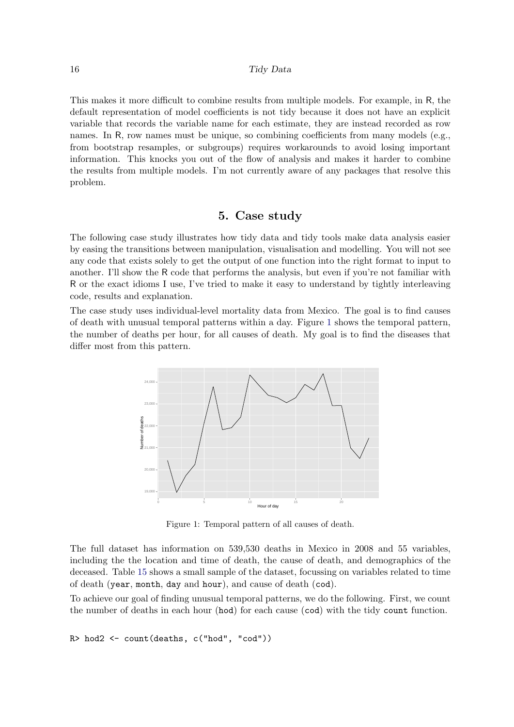This makes it more difficult to combine results from multiple models. For example, in R, the default representation of model coefficients is not tidy because it does not have an explicit variable that records the variable name for each estimate, they are instead recorded as row names. In R, row names must be unique, so combining coefficients from many models (e.g., from bootstrap resamples, or subgroups) requires workarounds to avoid losing important information. This knocks you out of the flow of analysis and makes it harder to combine the results from multiple models. I'm not currently aware of any packages that resolve this problem.

# 5. Case study

<span id="page-15-0"></span>The following case study illustrates how tidy data and tidy tools make data analysis easier by easing the transitions between manipulation, visualisation and modelling. You will not see any code that exists solely to get the output of one function into the right format to input to another. I'll show the R code that performs the analysis, but even if you're not familiar with R or the exact idioms I use, I've tried to make it easy to understand by tightly interleaving code, results and explanation.

<span id="page-15-1"></span>The case study uses individual-level mortality data from Mexico. The goal is to find causes of death with unusual temporal patterns within a day. Figure [1](#page-15-1) shows the temporal pattern, the number of deaths per hour, for all causes of death. My goal is to find the diseases that differ most from this pattern.



Figure 1: Temporal pattern of all causes of death.

The full dataset has information on 539,530 deaths in Mexico in 2008 and 55 variables, including the the location and time of death, the cause of death, and demographics of the deceased. Table [15](#page-16-0) shows a small sample of the dataset, focussing on variables related to time of death (year, month, day and hour), and cause of death (cod).

To achieve our goal of finding unusual temporal patterns, we do the following. First, we count the number of deaths in each hour (hod) for each cause (cod) with the tidy count function.

```
R> hod2 <- count(deaths, c("hod", "cod"))
```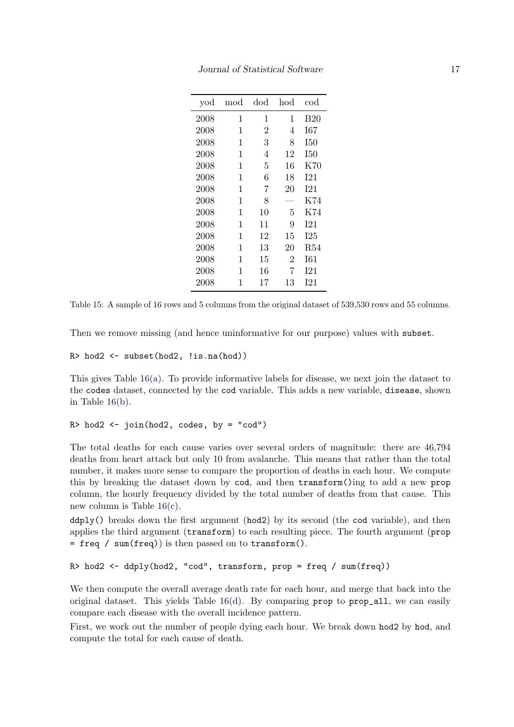<span id="page-16-0"></span>

| yod  | $_{\rm mod}$ | dod            | hod            | cod        |
|------|--------------|----------------|----------------|------------|
| 2008 | 1            | 1              | 1              | B20        |
| 2008 | 1            | $\overline{2}$ | 4              | I67        |
| 2008 | 1            | 3              | 8              | I50        |
| 2008 | 1            | 4              | 12             | I50        |
| 2008 | 1            | 5              | 16             | K70        |
| 2008 | 1            | 6              | 18             | I21        |
| 2008 | 1            | 7              | 20             | 121        |
| 2008 | 1            | 8              |                | K74        |
| 2008 | 1            | 10             | 5              | K74        |
| 2008 | 1            | 11             | 9              | <b>I21</b> |
| 2008 | 1            | 12             | 15             | I25        |
| 2008 | 1            | 13             | 20             | R54        |
| 2008 | 1            | 15             | $\overline{2}$ | I61        |
| 2008 | 1            | 16             | 7              | I21        |
| 2008 | 1            | 17             | 13             | I21        |

Table 15: A sample of 16 rows and 5 columns from the original dataset of 539,530 rows and 55 columns.

Then we remove missing (and hence uninformative for our purpose) values with subset.

 $R$ > hod2 <- subset(hod2, !is.na(hod))

This gives Table  $16(a)$ . To provide informative labels for disease, we next join the dataset to the codes dataset, connected by the cod variable. This adds a new variable, disease, shown in Table  $16(b)$ .

```
R> hod2 <- join(hod2, codes, by = "cod")
```
The total deaths for each cause varies over several orders of magnitude: there are 46,794 deaths from heart attack but only 10 from avalanche. This means that rather than the total number, it makes more sense to compare the proportion of deaths in each hour. We compute this by breaking the dataset down by cod, and then transform()ing to add a new prop column, the hourly frequency divided by the total number of deaths from that cause. This new column is Table [16\(c\).](#page-17-2)

 $ddply()$  breaks down the first argument (hod2) by its second (the cod variable), and then applies the third argument (transform) to each resulting piece. The fourth argument (prop  $=$  freq / sum(freq)) is then passed on to transform().

```
R> hod2 <- ddply(hod2, "cod", transform, prop = freq / sum(freq))
```
We then compute the overall average death rate for each hour, and merge that back into the original dataset. This yields Table  $16(d)$ . By comparing prop to prop\_all, we can easily compare each disease with the overall incidence pattern.

First, we work out the number of people dying each hour. We break down hod2 by hod, and compute the total for each cause of death.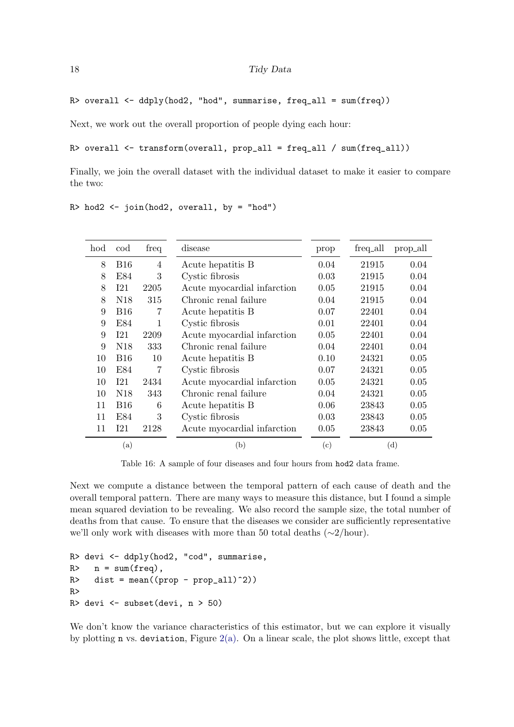R> overall  $\leq$  ddply(hod2, "hod", summarise, freq\_all = sum(freq))

Next, we work out the overall proportion of people dying each hour:

 $R$ > overall <- transform(overall, prop\_all = freq\_all / sum(freq\_all))

Finally, we join the overall dataset with the individual dataset to make it easier to compare the two:

 $R>$  hod2 <- join(hod2, overall, by = "hod")

<span id="page-17-1"></span><span id="page-17-0"></span>

| hod | cod             | freq           | disease                     | prop         | freq_all | prop_all |
|-----|-----------------|----------------|-----------------------------|--------------|----------|----------|
| 8   | <b>B16</b>      | $\overline{4}$ | Acute hepatitis B           | 0.04         | 21915    | 0.04     |
| 8   | E84             | 3              | Cystic fibrosis             | 0.03         | 21915    | 0.04     |
| 8   | I <sub>21</sub> | 2205           | Acute myocardial infarction | 0.05         | 21915    | 0.04     |
| 8   | N <sub>18</sub> | 315            | Chronic renal failure       | 0.04         | 21915    | 0.04     |
| 9   | <b>B16</b>      | 7              | Acute hepatitis B           | 0.07         | 22401    | 0.04     |
| 9   | E84             |                | Cystic fibrosis             | 0.01         | 22401    | 0.04     |
| 9   | I21             | 2209           | Acute myocardial infarction | 0.05         | 22401    | 0.04     |
| 9   | N <sub>18</sub> | 333            | Chronic renal failure       | 0.04         | 22401    | 0.04     |
| 10  | <b>B16</b>      | 10             | Acute hepatitis B           | 0.10         | 24321    | 0.05     |
| 10  | E84             | 7              | Cystic fibrosis             | 0.07         | 24321    | 0.05     |
| 10  | I21             | 2434           | Acute myocardial infarction | 0.05         | 24321    | 0.05     |
| 10  | N <sub>18</sub> | 343            | Chronic renal failure       | 0.04         | 24321    | 0.05     |
| 11  | <b>B16</b>      | 6              | Acute hepatitis B           | 0.06         | 23843    | 0.05     |
| 11  | E84             | 3              | Cystic fibrosis             | 0.03         | 23843    | 0.05     |
| 11  | I21             | 2128           | Acute myocardial infarction | 0.05         | 23843    | 0.05     |
|     | (a)             |                | (b)                         | $^{\rm (c)}$ |          | (d)      |

<span id="page-17-3"></span><span id="page-17-2"></span>Table 16: A sample of four diseases and four hours from hod2 data frame.

Next we compute a distance between the temporal pattern of each cause of death and the overall temporal pattern. There are many ways to measure this distance, but I found a simple mean squared deviation to be revealing. We also record the sample size, the total number of deaths from that cause. To ensure that the diseases we consider are sufficiently representative we'll only work with diseases with more than 50 total deaths (∼2/hour).

```
R> devi <- ddply(hod2, "cod", summarise,
R> n = sum(freq),
R dist = mean((prop - prop_all)^2))
R>
R> devi <- subset(devi, n > 50)
```
We don't know the variance characteristics of this estimator, but we can explore it visually by plotting **n** vs. deviation, Figure  $2(a)$ . On a linear scale, the plot shows little, except that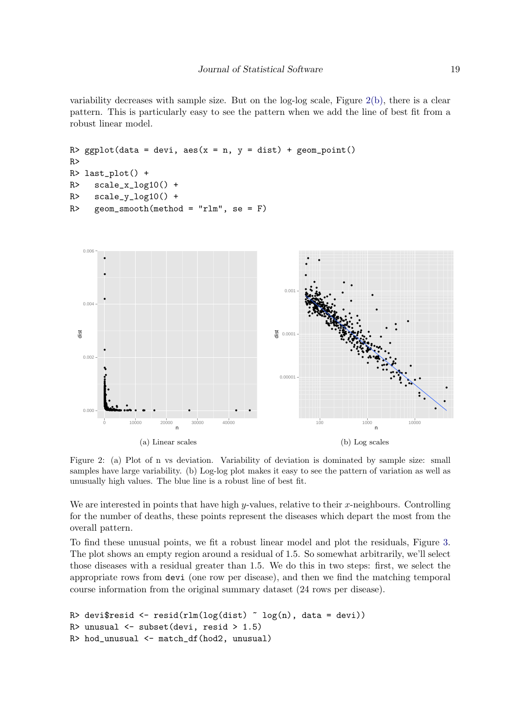variability decreases with sample size. But on the log-log scale, Figure [2\(b\),](#page-18-1) there is a clear pattern. This is particularly easy to see the pattern when we add the line of best fit from a robust linear model.

```
R> ggplot(data = devi, aes(x = n, y = dist) + geom_point()
R>
R> last_plot() +
R> scale_x_log10() +
R> scale_y_log10() +
R geom_smooth(method = "rlm", se = F)
```
<span id="page-18-0"></span>

<span id="page-18-1"></span>Figure 2: (a) Plot of n vs deviation. Variability of deviation is dominated by sample size: small samples have large variability. (b) Log-log plot makes it easy to see the pattern of variation as well as unusually high values. The blue line is a robust line of best fit.

We are interested in points that have high  $y$ -values, relative to their  $x$ -neighbours. Controlling for the number of deaths, these points represent the diseases which depart the most from the overall pattern.

To find these unusual points, we fit a robust linear model and plot the residuals, Figure [3.](#page-19-1) The plot shows an empty region around a residual of 1.5. So somewhat arbitrarily, we'll select those diseases with a residual greater than 1.5. We do this in two steps: first, we select the appropriate rows from devi (one row per disease), and then we find the matching temporal course information from the original summary dataset (24 rows per disease).

```
R> devi$resid <- resid(rlm(log(dist) \tilde{ } log(n), data = devi))
R> unusual <- subset(devi, resid > 1.5)
R> hod_unusual <- match_df(hod2, unusual)
```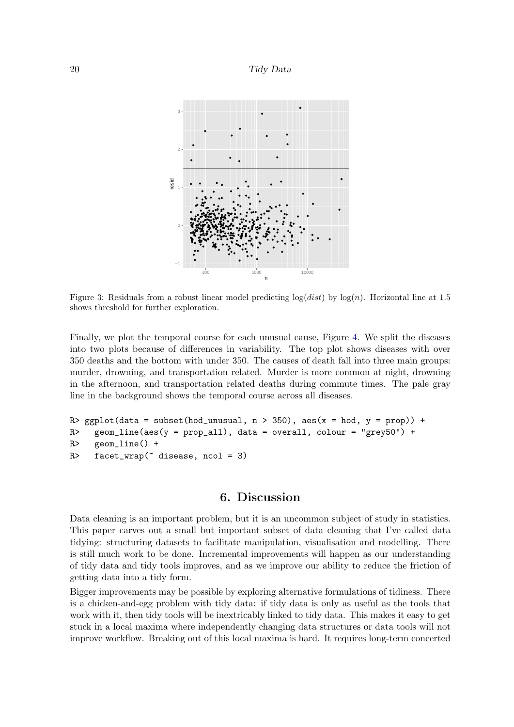<span id="page-19-1"></span>

Figure 3: Residuals from a robust linear model predicting  $log(dist)$  by  $log(n)$ . Horizontal line at 1.5 shows threshold for further exploration.

Finally, we plot the temporal course for each unusual cause, Figure [4.](#page-20-0) We split the diseases into two plots because of differences in variability. The top plot shows diseases with over 350 deaths and the bottom with under 350. The causes of death fall into three main groups: murder, drowning, and transportation related. Murder is more common at night, drowning in the afternoon, and transportation related deaths during commute times. The pale gray line in the background shows the temporal course across all diseases.

```
R> ggplot(data = subset(hod_unusual, n > 350), aes(x = hod, y = prop)) +
R> geom_line(aes(y = prop_all), data = overall, colour = "grey50") +
R> geom_line() +
R> facet_wrap(\tilde{C} disease, ncol = 3)
```
# 6. Discussion

<span id="page-19-0"></span>Data cleaning is an important problem, but it is an uncommon subject of study in statistics. This paper carves out a small but important subset of data cleaning that I've called data tidying: structuring datasets to facilitate manipulation, visualisation and modelling. There is still much work to be done. Incremental improvements will happen as our understanding of tidy data and tidy tools improves, and as we improve our ability to reduce the friction of getting data into a tidy form.

Bigger improvements may be possible by exploring alternative formulations of tidiness. There is a chicken-and-egg problem with tidy data: if tidy data is only as useful as the tools that work with it, then tidy tools will be inextricably linked to tidy data. This makes it easy to get stuck in a local maxima where independently changing data structures or data tools will not improve workflow. Breaking out of this local maxima is hard. It requires long-term concerted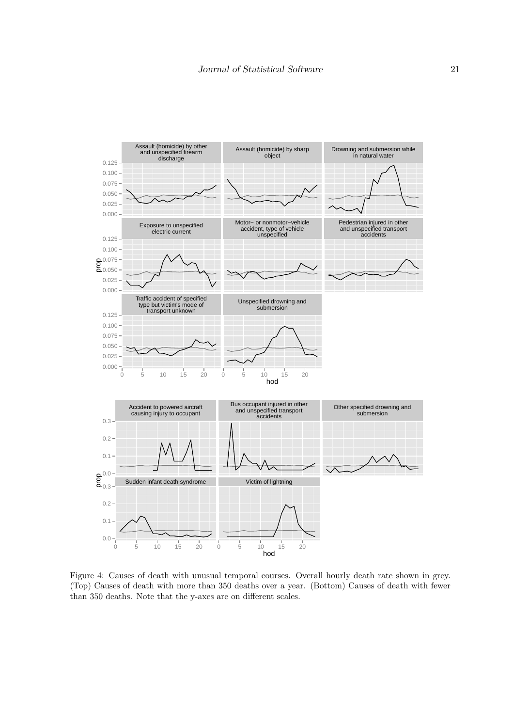<span id="page-20-0"></span>

Figure 4: Causes of death with unusual temporal courses. Overall hourly death rate shown in grey. (Top) Causes of death with more than 350 deaths over a year. (Bottom) Causes of death with fewer than 350 deaths. Note that the y-axes are on different scales.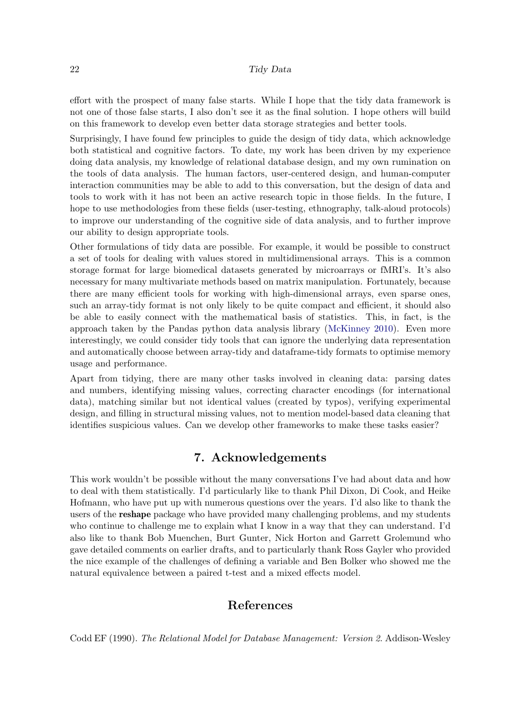effort with the prospect of many false starts. While I hope that the tidy data framework is not one of those false starts, I also don't see it as the final solution. I hope others will build on this framework to develop even better data storage strategies and better tools.

Surprisingly, I have found few principles to guide the design of tidy data, which acknowledge both statistical and cognitive factors. To date, my work has been driven by my experience doing data analysis, my knowledge of relational database design, and my own rumination on the tools of data analysis. The human factors, user-centered design, and human-computer interaction communities may be able to add to this conversation, but the design of data and tools to work with it has not been an active research topic in those fields. In the future, I hope to use methodologies from these fields (user-testing, ethnography, talk-aloud protocols) to improve our understanding of the cognitive side of data analysis, and to further improve our ability to design appropriate tools.

Other formulations of tidy data are possible. For example, it would be possible to construct a set of tools for dealing with values stored in multidimensional arrays. This is a common storage format for large biomedical datasets generated by microarrays or fMRI's. It's also necessary for many multivariate methods based on matrix manipulation. Fortunately, because there are many efficient tools for working with high-dimensional arrays, even sparse ones, such an array-tidy format is not only likely to be quite compact and efficient, it should also be able to easily connect with the mathematical basis of statistics. This, in fact, is the approach taken by the Pandas python data analysis library [\(McKinney](#page-22-13) [2010\)](#page-22-13). Even more interestingly, we could consider tidy tools that can ignore the underlying data representation and automatically choose between array-tidy and dataframe-tidy formats to optimise memory usage and performance.

Apart from tidying, there are many other tasks involved in cleaning data: parsing dates and numbers, identifying missing values, correcting character encodings (for international data), matching similar but not identical values (created by typos), verifying experimental design, and filling in structural missing values, not to mention model-based data cleaning that identifies suspicious values. Can we develop other frameworks to make these tasks easier?

# 7. Acknowledgements

This work wouldn't be possible without the many conversations I've had about data and how to deal with them statistically. I'd particularly like to thank Phil Dixon, Di Cook, and Heike Hofmann, who have put up with numerous questions over the years. I'd also like to thank the users of the reshape package who have provided many challenging problems, and my students who continue to challenge me to explain what I know in a way that they can understand. I'd also like to thank Bob Muenchen, Burt Gunter, Nick Horton and Garrett Grolemund who gave detailed comments on earlier drafts, and to particularly thank Ross Gayler who provided the nice example of the challenges of defining a variable and Ben Bolker who showed me the natural equivalence between a paired t-test and a mixed effects model.

# References

<span id="page-21-0"></span>Codd EF (1990). The Relational Model for Database Management: Version 2. Addison-Wesley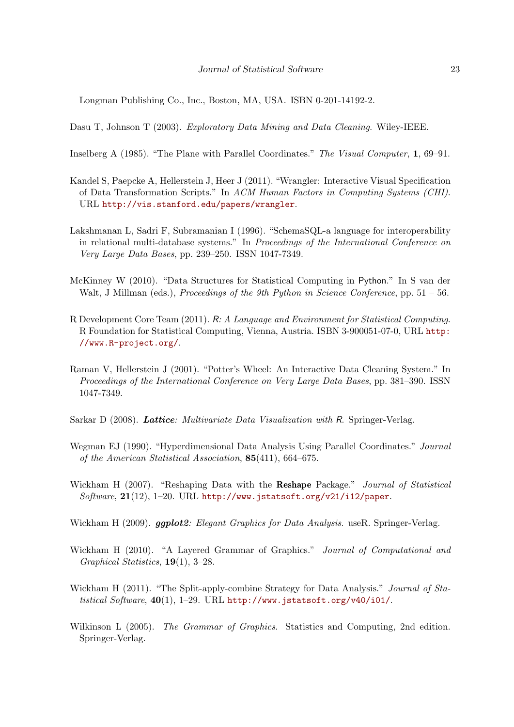Longman Publishing Co., Inc., Boston, MA, USA. ISBN 0-201-14192-2.

<span id="page-22-0"></span>Dasu T, Johnson T (2003). Exploratory Data Mining and Data Cleaning. Wiley-IEEE.

<span id="page-22-12"></span>Inselberg A (1985). "The Plane with Parallel Coordinates." The Visual Computer, 1, 69–91.

- <span id="page-22-3"></span>Kandel S, Paepcke A, Hellerstein J, Heer J (2011). "Wrangler: Interactive Visual Specification of Data Transformation Scripts." In ACM Human Factors in Computing Systems (CHI). URL <http://vis.stanford.edu/papers/wrangler>.
- <span id="page-22-1"></span>Lakshmanan L, Sadri F, Subramanian I (1996). "SchemaSQL-a language for interoperability in relational multi-database systems." In Proceedings of the International Conference on Very Large Data Bases, pp. 239–250. ISSN 1047-7349.
- <span id="page-22-13"></span>McKinney W (2010). "Data Structures for Statistical Computing in Python." In S van der Walt, J Millman (eds.), *Proceedings of the 9th Python in Science Conference*, pp. 51 – 56.
- <span id="page-22-7"></span>R Development Core Team (2011). R: A Language and Environment for Statistical Computing. R Foundation for Statistical Computing, Vienna, Austria. ISBN 3-900051-07-0, URL [http:](http://www.R-project.org/) [//www.R-project.org/](http://www.R-project.org/).
- <span id="page-22-2"></span>Raman V, Hellerstein J (2001). "Potter's Wheel: An Interactive Data Cleaning System." In Proceedings of the International Conference on Very Large Data Bases, pp. 381–390. ISSN 1047-7349.
- <span id="page-22-10"></span>Sarkar D (2008). Lattice: Multivariate Data Visualization with R. Springer-Verlag.
- <span id="page-22-11"></span>Wegman EJ (1990). "Hyperdimensional Data Analysis Using Parallel Coordinates." Journal of the American Statistical Association, 85(411), 664–675.
- <span id="page-22-4"></span>Wickham H (2007). "Reshaping Data with the Reshape Package." Journal of Statistical Software,  $21(12)$ , 1-20. URL <http://www.jstatsoft.org/v21/i12/paper>.
- <span id="page-22-6"></span>Wickham H (2009). ggplot2: Elegant Graphics for Data Analysis. useR. Springer-Verlag.
- <span id="page-22-9"></span>Wickham H (2010). "A Layered Grammar of Graphics." Journal of Computational and Graphical Statistics, 19(1), 3–28.
- <span id="page-22-5"></span>Wickham H (2011). "The Split-apply-combine Strategy for Data Analysis." *Journal of Sta*tistical Software,  $40(1)$ , 1-29. URL <http://www.jstatsoft.org/v40/i01/>.
- <span id="page-22-8"></span>Wilkinson L (2005). The Grammar of Graphics. Statistics and Computing, 2nd edition. Springer-Verlag.